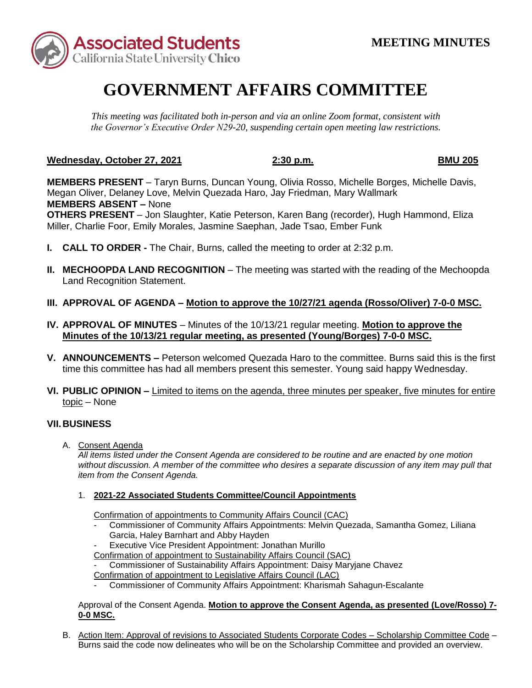

# **GOVERNMENT AFFAIRS COMMITTEE**

*This meeting was facilitated both in-person and via an online Zoom format, consistent with the Governor's Executive Order N29-20, suspending certain open meeting law restrictions.* 

# **Wednesday, October 27, 2021 2:30 p.m. BMU 205**

 Megan Oliver, Delaney Love, Melvin Quezada Haro, Jay Friedman, Mary Wallmark  **MEMBERS ABSENT –** None **OTHERS PRESENT** – Jon Slaughter, Katie Peterson, Karen Bang (recorder), Hugh Hammond, Eliza Miller, Charlie Foor, Emily Morales, Jasmine Saephan, Jade Tsao, Ember Funk **MEMBERS PRESENT** – Taryn Burns, Duncan Young, Olivia Rosso, Michelle Borges, Michelle Davis,

- **I. CALL TO ORDER -** The Chair, Burns, called the meeting to order at 2:32 p.m.
- **II. MECHOOPDA LAND RECOGNITION** The meeting was started with the reading of the Mechoopda Land Recognition Statement.
- **III. APPROVAL OF AGENDA – Motion to approve the 10/27/21 agenda (Rosso/Oliver) 7-0-0 MSC.**
- **IV. APPROVAL OF MINUTES**  Minutes of the 10/13/21 regular meeting. **Motion to approve the Minutes of the 10/13/21 regular meeting, as presented (Young/Borges) 7-0-0 MSC.**
- **V. ANNOUNCEMENTS –** Peterson welcomed Quezada Haro to the committee. Burns said this is the first time this committee has had all members present this semester. Young said happy Wednesday.
- **VI. PUBLIC OPINION –** Limited to items on the agenda, three minutes per speaker, five minutes for entire topic – None

## **VII. BUSINESS**

A. Consent Agenda

*All items listed under the Consent Agenda are considered to be routine and are enacted by one motion without discussion. A member of the committee who desires a separate discussion of any item may pull that item from the Consent Agenda.* 

### 1. **2021-22 Associated Students Committee/Council Appointments**

Confirmation of appointments to Community Affairs Council (CAC)

- Commissioner of Community Affairs Appointments: Melvin Quezada, Samantha Gomez, Liliana Garcia, Haley Barnhart and Abby Hayden
- Executive Vice President Appointment: Jonathan Murillo
- Confirmation of appointment to Sustainability Affairs Council (SAC)
- Commissioner of Sustainability Affairs Appointment: Daisy Maryjane Chavez

Confirmation of appointment to Legislative Affairs Council (LAC)

Commissioner of Community Affairs Appointment: Kharismah Sahagun-Escalante

#### Approval of the Consent Agenda. Motion to approve the Consent Agenda, as presented (Love/Rosso) 7-**0-0 MSC.**

 Burns said the code now delineates who will be on the Scholarship Committee and provided an overview. B. Action Item: Approval of revisions to Associated Students Corporate Codes – Scholarship Committee Code –